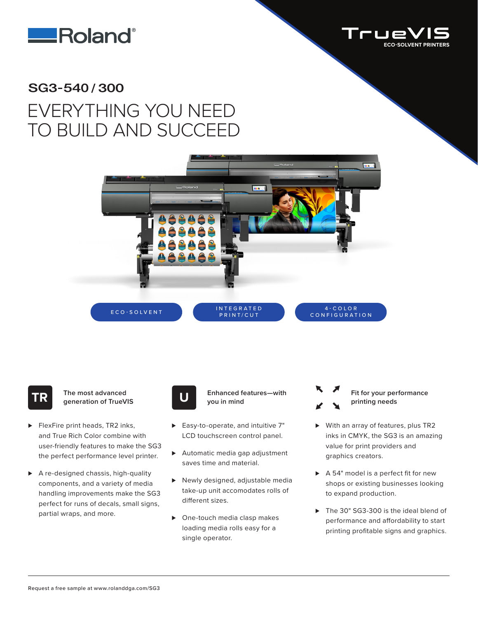



## SG3-540/300 EVERYTHING YOU NEED TO BUILD AND SUCCEED



**TR The most advanced generation of TrueVIS**

- ► FlexFire print heads, TR2 inks, and True Rich Color combine with user-friendly features to make the SG3 the perfect performance level printer.
- ► A re-designed chassis, high-quality components, and a variety of media handling improvements make the SG3 perfect for runs of decals, small signs, partial wraps, and more.



**Enhanced features—with U you in mind**

- ► Easy-to-operate, and intuitive 7" LCD touchscreen control panel.
- ► Automatic media gap adjustment saves time and material.
- ▶ Newly designed, adjustable media take-up unit accomodates rolls of different sizes.
- ▶ One-touch media clasp makes loading media rolls easy for a single operator.



- ► With an array of features, plus TR2 inks in CMYK, the SG3 is an amazing value for print providers and graphics creators.
- ► A 54" model is a perfect fit for new shops or existing businesses looking to expand production.
- ▶ The 30" SG3-300 is the ideal blend of performance and affordability to start printing profitable signs and graphics.